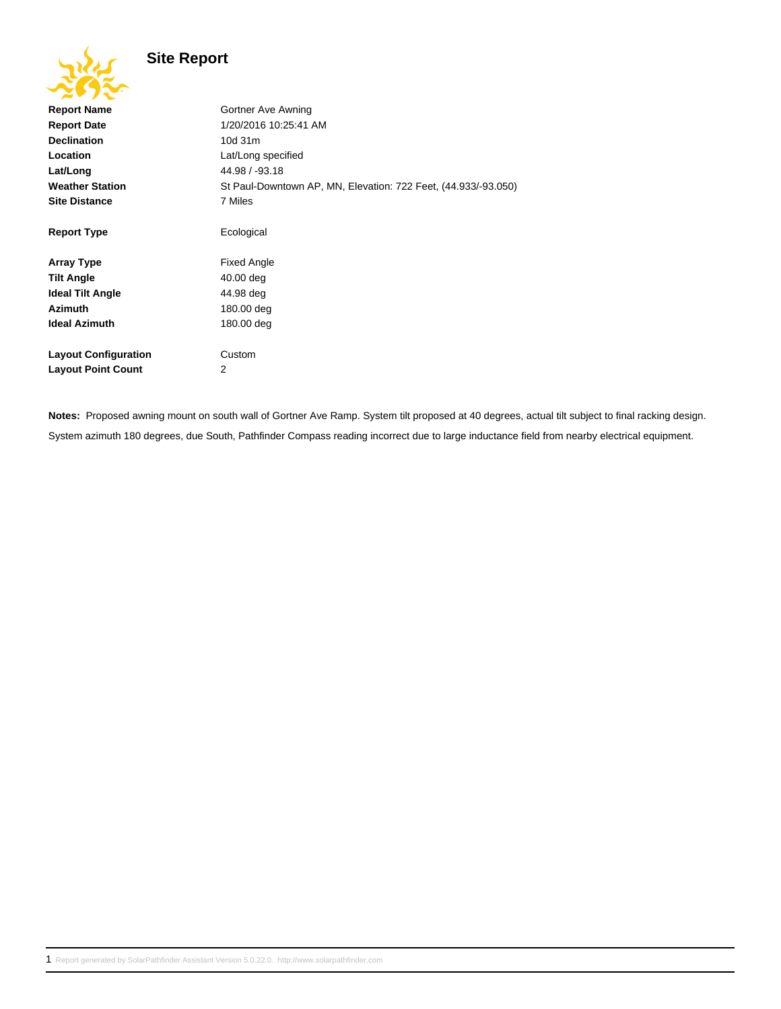## **Site Report**

| 201                         |                                                                |
|-----------------------------|----------------------------------------------------------------|
| <b>Report Name</b>          | Gortner Ave Awning                                             |
| <b>Report Date</b>          | 1/20/2016 10:25:41 AM                                          |
| <b>Declination</b>          | 10d 31m                                                        |
| Location                    | Lat/Long specified                                             |
| Lat/Long                    | 44.98 / -93.18                                                 |
| <b>Weather Station</b>      | St Paul-Downtown AP, MN, Elevation: 722 Feet, (44.933/-93.050) |
| <b>Site Distance</b>        | 7 Miles                                                        |
|                             |                                                                |
| <b>Report Type</b>          | Ecological                                                     |
|                             |                                                                |
| <b>Array Type</b>           | <b>Fixed Angle</b>                                             |
| <b>Tilt Angle</b>           | 40.00 deg                                                      |
| <b>Ideal Tilt Angle</b>     | 44.98 deg                                                      |
| <b>Azimuth</b>              | 180.00 deg                                                     |
| <b>Ideal Azimuth</b>        | 180.00 deg                                                     |
|                             |                                                                |
| <b>Layout Configuration</b> | Custom                                                         |
| <b>Layout Point Count</b>   | 2                                                              |
|                             |                                                                |

**Notes:** Proposed awning mount on south wall of Gortner Ave Ramp. System tilt proposed at 40 degrees, actual tilt subject to final racking design. System azimuth 180 degrees, due South, Pathfinder Compass reading incorrect due to large inductance field from nearby electrical equipment.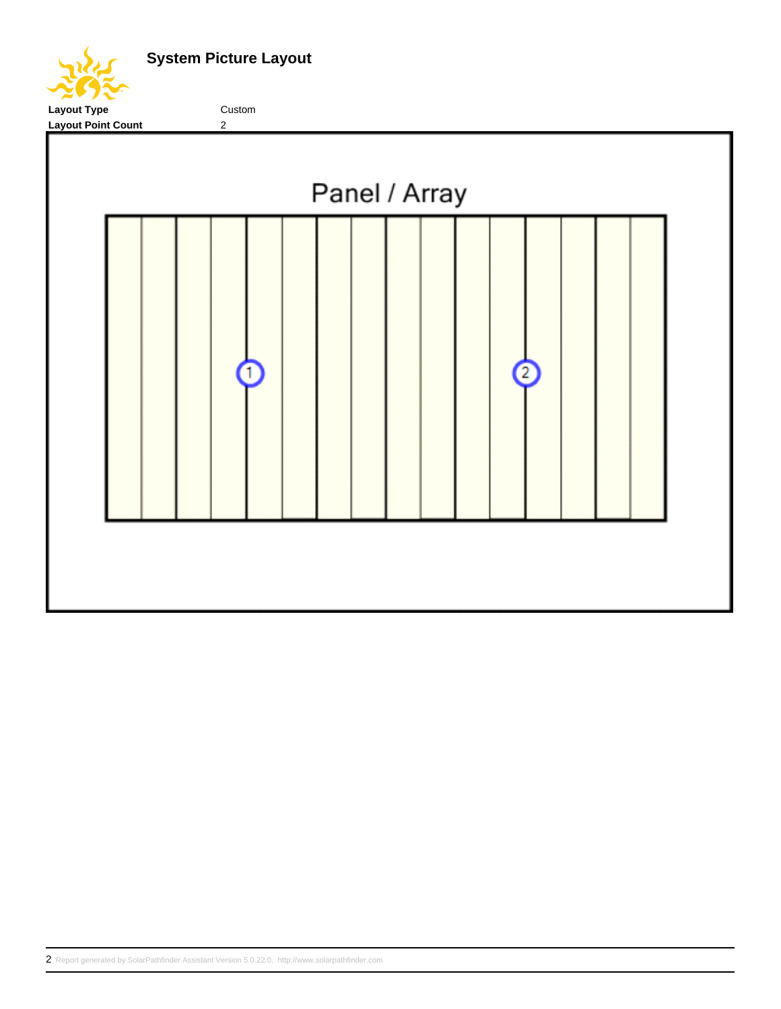**System Picture Layout**

Layout Type **Custom** 

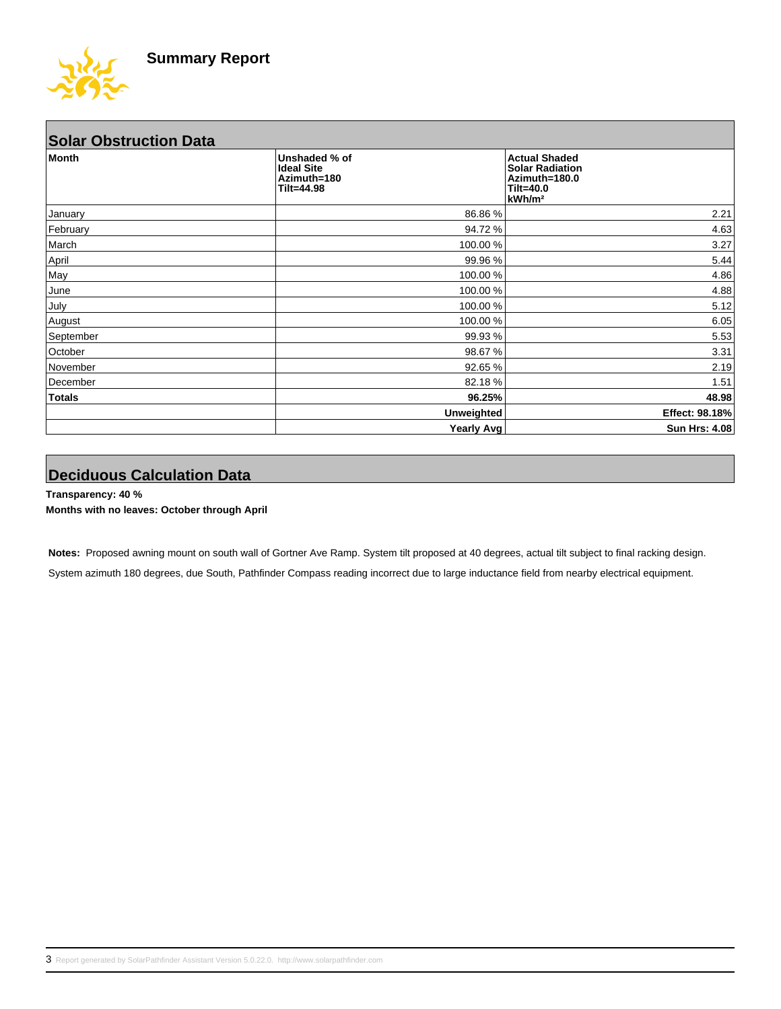

| <b>Solar Obstruction Data</b> |                                                                 |                                                                                                    |  |  |
|-------------------------------|-----------------------------------------------------------------|----------------------------------------------------------------------------------------------------|--|--|
| <b>Month</b>                  | Unshaded % of<br><b>Ideal Site</b><br>Azimuth=180<br>Tilt=44.98 | <b>Actual Shaded</b><br><b>Solar Radiation</b><br>Azimuth=180.0<br>Tilt=40.0<br>kWh/m <sup>2</sup> |  |  |
| January                       | 86.86 %                                                         | 2.21                                                                                               |  |  |
| February                      | 94.72 %                                                         | 4.63                                                                                               |  |  |
| March                         | 100.00 %                                                        | 3.27                                                                                               |  |  |
| April                         | 99.96 %                                                         | 5.44                                                                                               |  |  |
| May                           | 100.00 %                                                        | 4.86                                                                                               |  |  |
| June                          | 100.00 %                                                        | 4.88                                                                                               |  |  |
| July                          | 100.00 %                                                        | 5.12                                                                                               |  |  |
| August                        | 100.00 %                                                        | 6.05                                                                                               |  |  |
| September                     | 99.93 %                                                         | 5.53                                                                                               |  |  |
| October                       | 98.67 %                                                         | 3.31                                                                                               |  |  |
| November                      | 92.65 %                                                         | 2.19                                                                                               |  |  |
| December                      | 82.18%                                                          | 1.51                                                                                               |  |  |
| <b>Totals</b>                 | 96.25%                                                          | 48.98                                                                                              |  |  |
|                               | <b>Unweighted</b>                                               | Effect: 98.18%                                                                                     |  |  |
|                               | Yearly Avg                                                      | <b>Sun Hrs: 4.08</b>                                                                               |  |  |

## **Deciduous Calculation Data**

**Transparency: 40 % Months with no leaves: October through April**

**Notes:** Proposed awning mount on south wall of Gortner Ave Ramp. System tilt proposed at 40 degrees, actual tilt subject to final racking design. System azimuth 180 degrees, due South, Pathfinder Compass reading incorrect due to large inductance field from nearby electrical equipment.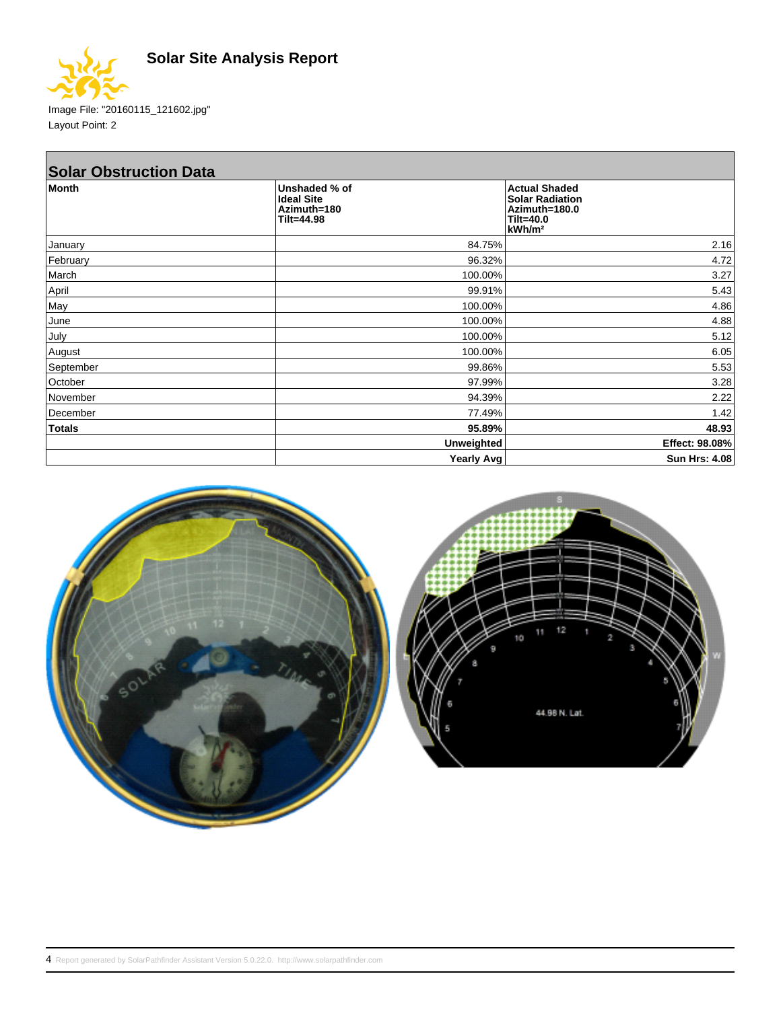



Image File: "20160115\_121602.jpg" Layout Point: 2

| <b>Solar Obstruction Data</b> |                                                                 |                                                                                                      |  |  |
|-------------------------------|-----------------------------------------------------------------|------------------------------------------------------------------------------------------------------|--|--|
| <b>Month</b>                  | Unshaded % of<br><b>Ideal Site</b><br>Azimuth=180<br>Tilt=44.98 | <b>Actual Shaded</b><br><b>Solar Radiation</b><br>Azimuth=180.0<br>$Tilt=40.0$<br>kWh/m <sup>2</sup> |  |  |
| January                       | 84.75%                                                          | 2.16                                                                                                 |  |  |
| February                      | 96.32%                                                          | 4.72                                                                                                 |  |  |
| March                         | 100.00%                                                         | 3.27                                                                                                 |  |  |
| April                         | 99.91%                                                          | 5.43                                                                                                 |  |  |
| May                           | 100.00%                                                         | 4.86                                                                                                 |  |  |
| June                          | 100.00%                                                         | 4.88                                                                                                 |  |  |
| July                          | 100.00%                                                         | 5.12                                                                                                 |  |  |
| August                        | 100.00%                                                         | 6.05                                                                                                 |  |  |
| September                     | 99.86%                                                          | 5.53                                                                                                 |  |  |
| October                       | 97.99%                                                          | 3.28                                                                                                 |  |  |
| November                      | 94.39%                                                          | 2.22                                                                                                 |  |  |
| December                      | 77.49%                                                          | 1.42                                                                                                 |  |  |
| <b>Totals</b>                 | 95.89%                                                          | 48.93                                                                                                |  |  |
|                               | <b>Unweighted</b>                                               | Effect: 98.08%                                                                                       |  |  |
|                               | <b>Yearly Avg</b>                                               | <b>Sun Hrs: 4.08</b>                                                                                 |  |  |